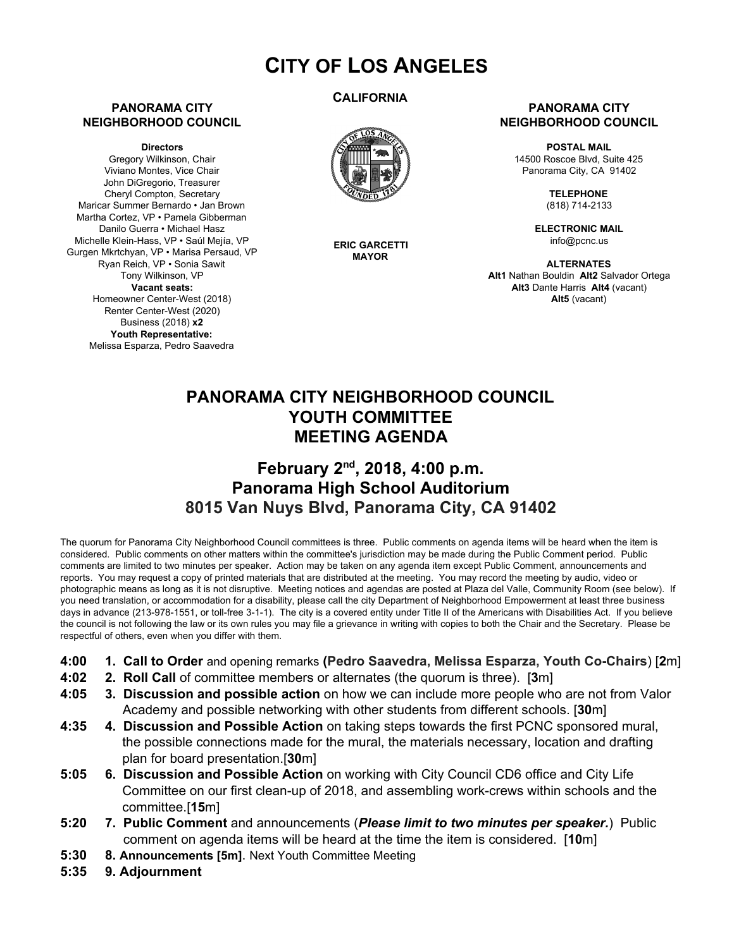# **CITY OF LOS ANGELES**

#### **PANORAMA CITY NEIGHBORHOOD COUNCIL**

**Directors**

Gregory Wilkinson, Chair Viviano Montes, Vice Chair John DiGregorio, Treasurer Cheryl Compton, Secretary Maricar Summer Bernardo • Jan Brown Martha Cortez, VP • Pamela Gibberman Danilo Guerra • Michael Hasz Michelle Klein-Hass, VP • Saúl Mejía, VP Gurgen Mkrtchyan, VP • Marisa Persaud, VP Ryan Reich, VP • Sonia Sawit Tony Wilkinson, VP **Vacant seats:** Homeowner Center-West (2018) Renter Center-West (2020) Business (2018) **x2 Youth Representative:** Melissa Esparza, Pedro Saavedra

### **CALIFORNIA**



**ERIC GARCETTI MAYOR**

#### **PANORAMA CITY NEIGHBORHOOD COUNCIL**

**POSTAL MAIL** 14500 Roscoe Blvd, Suite 425 Panorama City, CA 91402

> **TELEPHONE** (818) 714-2133

**ELECTRONIC MAIL** info@pcnc.us

**ALTERNATES Alt1** Nathan Bouldin **Alt2** Salvador Ortega **Alt3** Dante Harris **Alt4** (vacant) **Alt5** (vacant)

## **PANORAMA CITY NEIGHBORHOOD COUNCIL YOUTH COMMITTEE MEETING AGENDA**

### **February 2 nd , 2018, 4:00 p.m. Panorama High School Auditorium 8015 Van Nuys Blvd, Panorama City, CA 91402**

The quorum for Panorama City Neighborhood Council committees is three. Public comments on agenda items will be heard when the item is considered. Public comments on other matters within the committee's jurisdiction may be made during the Public Comment period. Public comments are limited to two minutes per speaker. Action may be taken on any agenda item except Public Comment, announcements and reports. You may request a copy of printed materials that are distributed at the meeting. You may record the meeting by audio, video or photographic means as long as it is not disruptive. Meeting notices and agendas are posted at Plaza del Valle, Community Room (see below). If you need translation, or accommodation for a disability, please call the city Department of Neighborhood Empowerment at least three business days in advance (213-978-1551, or toll-free 3-1-1). The city is a covered entity under Title II of the Americans with Disabilities Act. If you believe the council is not following the law or its own rules you may file a grievance in writing with copies to both the Chair and the Secretary. Please be respectful of others, even when you differ with them.

- **4:00 1. Call to Order** and opening remarks **(Pedro Saavedra, Melissa Esparza, Youth Co-Chairs**) [**2**m]
- **4:02 2. Roll Call** of committee members or alternates (the quorum is three). [**3**m]
- **4:05 3. Discussion and possible action** on how we can include more people who are not from Valor Academy and possible networking with other students from different schools. [**30**m]
- **4:35 4. Discussion and Possible Action** on taking steps towards the first PCNC sponsored mural, the possible connections made for the mural, the materials necessary, location and drafting plan for board presentation.[**30**m]
- **5:05 6. Discussion and Possible Action** on working with City Council CD6 office and City Life Committee on our first clean-up of 2018, and assembling work-crews within schools and the committee.[**15**m]
- **5:20 7. Public Comment** and announcements (*Please limit to two minutes per speaker.*) Public comment on agenda items will be heard at the time the item is considered. [**10**m]
- **5:30 8. Announcements [5m]**. Next Youth Committee Meeting
- **5:35 9. Adjournment**